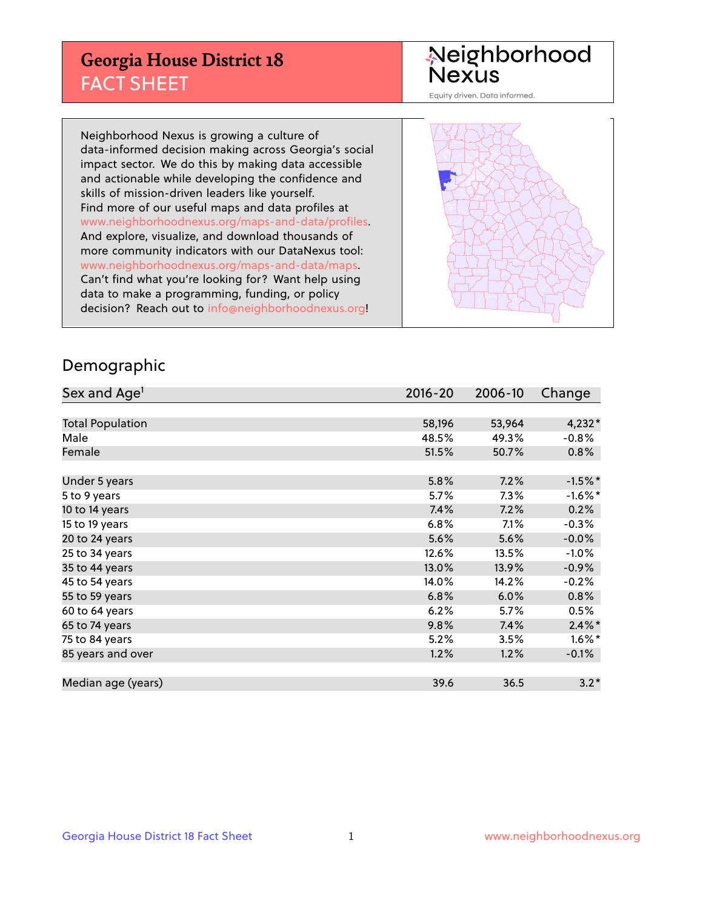## **Georgia House District 18** FACT SHEET

# Neighborhood<br>Nexus

Equity driven. Data informed.

Neighborhood Nexus is growing a culture of data-informed decision making across Georgia's social impact sector. We do this by making data accessible and actionable while developing the confidence and skills of mission-driven leaders like yourself. Find more of our useful maps and data profiles at www.neighborhoodnexus.org/maps-and-data/profiles. And explore, visualize, and download thousands of more community indicators with our DataNexus tool: www.neighborhoodnexus.org/maps-and-data/maps. Can't find what you're looking for? Want help using data to make a programming, funding, or policy decision? Reach out to [info@neighborhoodnexus.org!](mailto:info@neighborhoodnexus.org)



### Demographic

| Sex and Age <sup>1</sup> | $2016 - 20$ | 2006-10 | Change     |
|--------------------------|-------------|---------|------------|
|                          |             |         |            |
| <b>Total Population</b>  | 58,196      | 53,964  | $4,232*$   |
| Male                     | 48.5%       | 49.3%   | $-0.8%$    |
| Female                   | 51.5%       | 50.7%   | 0.8%       |
|                          |             |         |            |
| Under 5 years            | 5.8%        | 7.2%    | $-1.5%$ *  |
| 5 to 9 years             | 5.7%        | $7.3\%$ | $-1.6\%$ * |
| 10 to 14 years           | 7.4%        | 7.2%    | 0.2%       |
| 15 to 19 years           | 6.8%        | 7.1%    | $-0.3%$    |
| 20 to 24 years           | 5.6%        | 5.6%    | $-0.0%$    |
| 25 to 34 years           | 12.6%       | 13.5%   | $-1.0%$    |
| 35 to 44 years           | 13.0%       | 13.9%   | $-0.9%$    |
| 45 to 54 years           | 14.0%       | 14.2%   | $-0.2%$    |
| 55 to 59 years           | 6.8%        | 6.0%    | 0.8%       |
| 60 to 64 years           | 6.2%        | $5.7\%$ | 0.5%       |
| 65 to 74 years           | 9.8%        | 7.4%    | $2.4\%$ *  |
| 75 to 84 years           | 5.2%        | 3.5%    | $1.6\%$ *  |
| 85 years and over        | 1.2%        | 1.2%    | $-0.1\%$   |
|                          |             |         |            |
| Median age (years)       | 39.6        | 36.5    | $3.2*$     |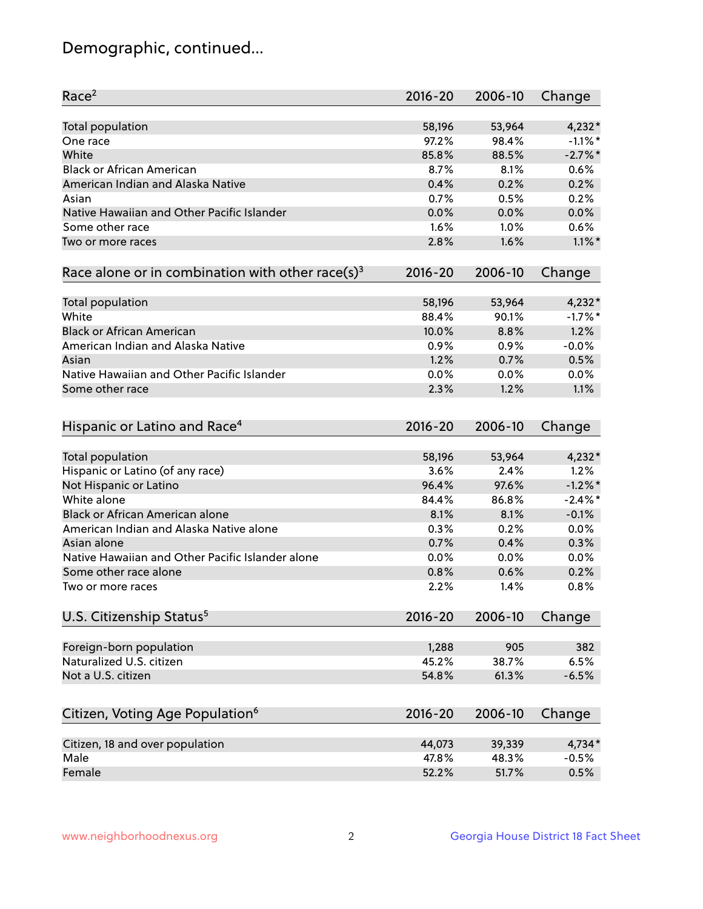## Demographic, continued...

| Race <sup>2</sup>                                            | $2016 - 20$ | 2006-10 | Change     |
|--------------------------------------------------------------|-------------|---------|------------|
| <b>Total population</b>                                      | 58,196      | 53,964  | $4,232*$   |
| One race                                                     | 97.2%       | 98.4%   | $-1.1\%$ * |
| White                                                        | 85.8%       | 88.5%   | $-2.7\%$ * |
| <b>Black or African American</b>                             | 8.7%        | 8.1%    | 0.6%       |
| American Indian and Alaska Native                            | 0.4%        | 0.2%    | 0.2%       |
| Asian                                                        | 0.7%        | 0.5%    | 0.2%       |
| Native Hawaiian and Other Pacific Islander                   | 0.0%        | 0.0%    | 0.0%       |
| Some other race                                              | 1.6%        | 1.0%    | 0.6%       |
| Two or more races                                            | 2.8%        | 1.6%    | $1.1\%$ *  |
| Race alone or in combination with other race(s) <sup>3</sup> | $2016 - 20$ | 2006-10 | Change     |
| Total population                                             | 58,196      | 53,964  | $4,232*$   |
| White                                                        | 88.4%       | 90.1%   | $-1.7%$ *  |
| <b>Black or African American</b>                             | 10.0%       | 8.8%    | 1.2%       |
| American Indian and Alaska Native                            | 0.9%        | 0.9%    | $-0.0%$    |
| Asian                                                        | 1.2%        | 0.7%    | 0.5%       |
| Native Hawaiian and Other Pacific Islander                   | 0.0%        | 0.0%    | 0.0%       |
| Some other race                                              | 2.3%        | 1.2%    | 1.1%       |
| Hispanic or Latino and Race <sup>4</sup>                     | $2016 - 20$ | 2006-10 | Change     |
| <b>Total population</b>                                      | 58,196      | 53,964  | $4,232*$   |
| Hispanic or Latino (of any race)                             | 3.6%        | 2.4%    | 1.2%       |
| Not Hispanic or Latino                                       | 96.4%       | 97.6%   | $-1.2\%$ * |
| White alone                                                  | 84.4%       | 86.8%   | $-2.4\%$ * |
| <b>Black or African American alone</b>                       | 8.1%        | 8.1%    | $-0.1%$    |
| American Indian and Alaska Native alone                      | 0.3%        | 0.2%    | 0.0%       |
| Asian alone                                                  | 0.7%        | 0.4%    | 0.3%       |
| Native Hawaiian and Other Pacific Islander alone             | 0.0%        | 0.0%    | 0.0%       |
| Some other race alone                                        | 0.8%        | 0.6%    | 0.2%       |
| Two or more races                                            | 2.2%        | 1.4%    | 0.8%       |
| U.S. Citizenship Status <sup>5</sup>                         | $2016 - 20$ | 2006-10 | Change     |
| Foreign-born population                                      | 1,288       | 905     | 382        |
| Naturalized U.S. citizen                                     | 45.2%       | 38.7%   | 6.5%       |
| Not a U.S. citizen                                           | 54.8%       | 61.3%   | $-6.5%$    |
|                                                              |             |         |            |
| Citizen, Voting Age Population <sup>6</sup>                  | $2016 - 20$ | 2006-10 | Change     |
| Citizen, 18 and over population                              | 44,073      | 39,339  | 4,734*     |
| Male                                                         | 47.8%       | 48.3%   | $-0.5%$    |
| Female                                                       | 52.2%       | 51.7%   | 0.5%       |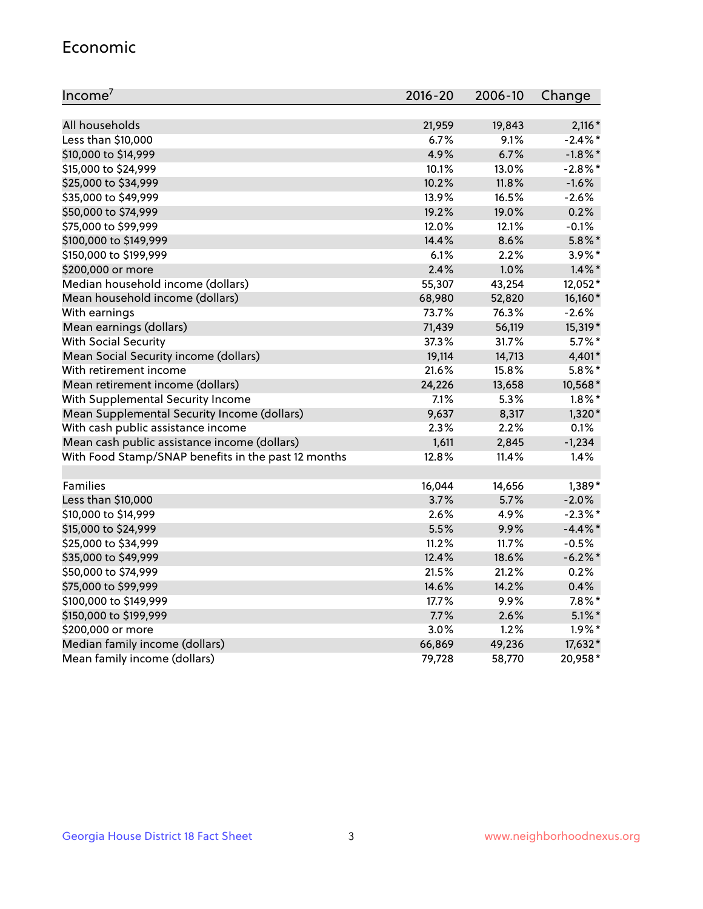#### Economic

| Income <sup>7</sup>                                 | $2016 - 20$ | 2006-10 | Change     |
|-----------------------------------------------------|-------------|---------|------------|
|                                                     |             |         |            |
| All households                                      | 21,959      | 19,843  | $2,116*$   |
| Less than \$10,000                                  | 6.7%        | 9.1%    | $-2.4\%$ * |
| \$10,000 to \$14,999                                | 4.9%        | 6.7%    | $-1.8\%$ * |
| \$15,000 to \$24,999                                | 10.1%       | 13.0%   | $-2.8\%$ * |
| \$25,000 to \$34,999                                | 10.2%       | 11.8%   | $-1.6%$    |
| \$35,000 to \$49,999                                | 13.9%       | 16.5%   | $-2.6%$    |
| \$50,000 to \$74,999                                | 19.2%       | 19.0%   | 0.2%       |
| \$75,000 to \$99,999                                | 12.0%       | 12.1%   | $-0.1%$    |
| \$100,000 to \$149,999                              | 14.4%       | 8.6%    | $5.8\%$ *  |
| \$150,000 to \$199,999                              | 6.1%        | 2.2%    | $3.9\%$ *  |
| \$200,000 or more                                   | 2.4%        | 1.0%    | $1.4\%$ *  |
| Median household income (dollars)                   | 55,307      | 43,254  | 12,052*    |
| Mean household income (dollars)                     | 68,980      | 52,820  | 16,160*    |
| With earnings                                       | 73.7%       | 76.3%   | $-2.6%$    |
| Mean earnings (dollars)                             | 71,439      | 56,119  | 15,319*    |
| <b>With Social Security</b>                         | 37.3%       | 31.7%   | $5.7\%$ *  |
| Mean Social Security income (dollars)               | 19,114      | 14,713  | 4,401*     |
| With retirement income                              | 21.6%       | 15.8%   | $5.8\%$ *  |
| Mean retirement income (dollars)                    | 24,226      | 13,658  | 10,568*    |
| With Supplemental Security Income                   | 7.1%        | 5.3%    | $1.8\%$ *  |
| Mean Supplemental Security Income (dollars)         | 9,637       | 8,317   | $1,320*$   |
| With cash public assistance income                  | 2.3%        | 2.2%    | 0.1%       |
| Mean cash public assistance income (dollars)        | 1,611       | 2,845   | $-1,234$   |
| With Food Stamp/SNAP benefits in the past 12 months | 12.8%       | 11.4%   | 1.4%       |
|                                                     |             |         |            |
| Families                                            | 16,044      | 14,656  | $1,389*$   |
| Less than \$10,000                                  | 3.7%        | 5.7%    | $-2.0%$    |
| \$10,000 to \$14,999                                | 2.6%        | 4.9%    | $-2.3\%$ * |
| \$15,000 to \$24,999                                | 5.5%        | 9.9%    | $-4.4\%$ * |
| \$25,000 to \$34,999                                | 11.2%       | 11.7%   | $-0.5%$    |
| \$35,000 to \$49,999                                | 12.4%       | 18.6%   | $-6.2\%$ * |
| \$50,000 to \$74,999                                | 21.5%       | 21.2%   | 0.2%       |
| \$75,000 to \$99,999                                | 14.6%       | 14.2%   | 0.4%       |
| \$100,000 to \$149,999                              | 17.7%       | 9.9%    | $7.8\%$ *  |
| \$150,000 to \$199,999                              | 7.7%        | 2.6%    | $5.1\%$ *  |
| \$200,000 or more                                   | 3.0%        | 1.2%    | $1.9\%$ *  |
| Median family income (dollars)                      | 66,869      | 49,236  | 17,632*    |
| Mean family income (dollars)                        | 79,728      | 58,770  | 20,958*    |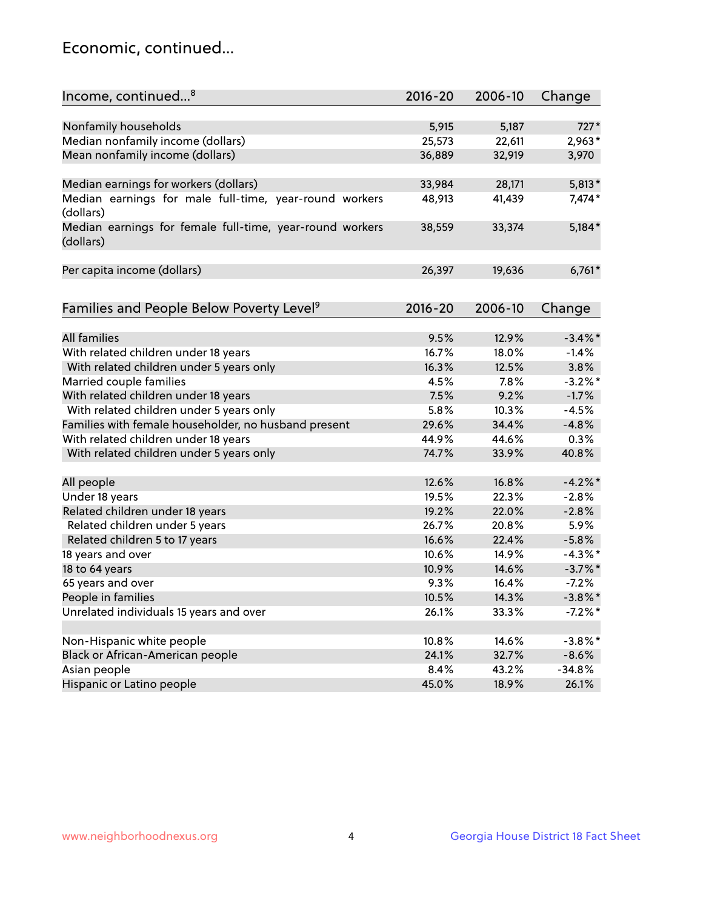## Economic, continued...

| Income, continued <sup>8</sup>                                        | $2016 - 20$ | 2006-10 | Change     |
|-----------------------------------------------------------------------|-------------|---------|------------|
|                                                                       |             |         |            |
| Nonfamily households                                                  | 5,915       | 5,187   | $727*$     |
| Median nonfamily income (dollars)                                     | 25,573      | 22,611  | 2,963*     |
| Mean nonfamily income (dollars)                                       | 36,889      | 32,919  | 3,970      |
| Median earnings for workers (dollars)                                 | 33,984      | 28,171  | $5,813*$   |
| Median earnings for male full-time, year-round workers                | 48,913      | 41,439  | 7,474*     |
| (dollars)                                                             |             |         |            |
| Median earnings for female full-time, year-round workers<br>(dollars) | 38,559      | 33,374  | $5,184*$   |
| Per capita income (dollars)                                           | 26,397      | 19,636  | $6,761*$   |
|                                                                       |             |         |            |
| Families and People Below Poverty Level <sup>9</sup>                  | $2016 - 20$ | 2006-10 | Change     |
|                                                                       |             |         |            |
| <b>All families</b>                                                   | 9.5%        | 12.9%   | $-3.4\%$ * |
| With related children under 18 years                                  | 16.7%       | 18.0%   | $-1.4%$    |
| With related children under 5 years only                              | 16.3%       | 12.5%   | 3.8%       |
| Married couple families                                               | 4.5%        | 7.8%    | $-3.2%$ *  |
| With related children under 18 years                                  | 7.5%        | 9.2%    | $-1.7%$    |
| With related children under 5 years only                              | 5.8%        | 10.3%   | $-4.5%$    |
| Families with female householder, no husband present                  | 29.6%       | 34.4%   | $-4.8%$    |
| With related children under 18 years                                  | 44.9%       | 44.6%   | 0.3%       |
| With related children under 5 years only                              | 74.7%       | 33.9%   | 40.8%      |
|                                                                       |             |         | $-4.2%$ *  |
| All people                                                            | 12.6%       | 16.8%   |            |
| Under 18 years                                                        | 19.5%       | 22.3%   | $-2.8%$    |
| Related children under 18 years                                       | 19.2%       | 22.0%   | $-2.8%$    |
| Related children under 5 years                                        | 26.7%       | 20.8%   | 5.9%       |
| Related children 5 to 17 years                                        | 16.6%       | 22.4%   | $-5.8%$    |
| 18 years and over                                                     | 10.6%       | 14.9%   | $-4.3\%$ * |
| 18 to 64 years                                                        | 10.9%       | 14.6%   | $-3.7\%$ * |
| 65 years and over                                                     | 9.3%        | 16.4%   | $-7.2%$    |
| People in families                                                    | 10.5%       | 14.3%   | $-3.8\%$ * |
| Unrelated individuals 15 years and over                               | 26.1%       | 33.3%   | $-7.2%$ *  |
|                                                                       |             |         |            |
| Non-Hispanic white people                                             | 10.8%       | 14.6%   | $-3.8\%$ * |
| Black or African-American people                                      | 24.1%       | 32.7%   | $-8.6%$    |
| Asian people                                                          | 8.4%        | 43.2%   | $-34.8%$   |
| Hispanic or Latino people                                             | 45.0%       | 18.9%   | 26.1%      |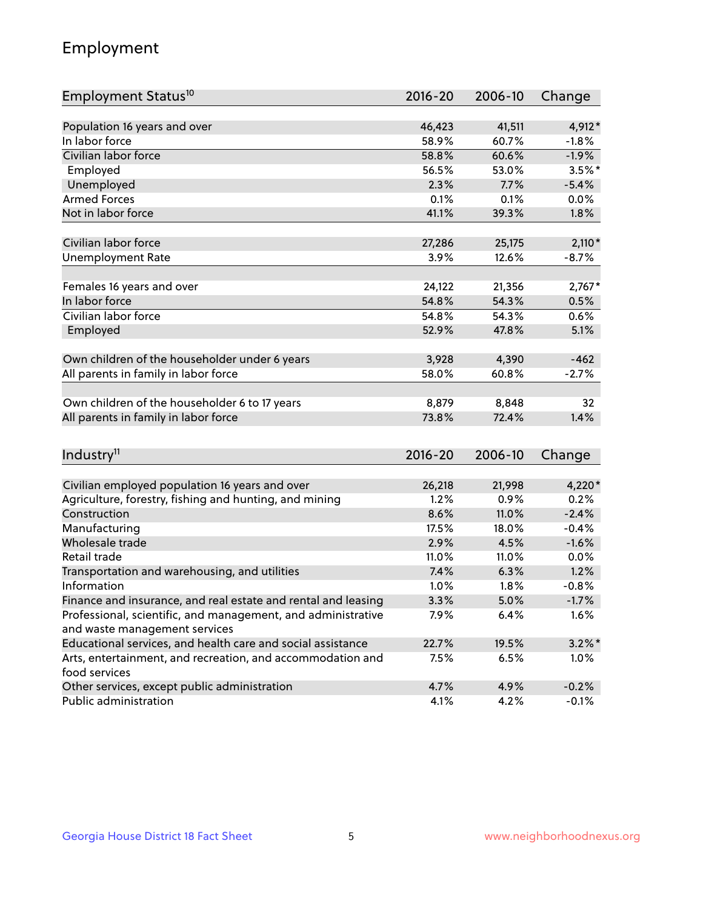## Employment

| Employment Status <sup>10</sup>                                             | $2016 - 20$ | 2006-10 | Change    |
|-----------------------------------------------------------------------------|-------------|---------|-----------|
|                                                                             |             |         |           |
| Population 16 years and over                                                | 46,423      | 41,511  | 4,912*    |
| In labor force                                                              | 58.9%       | 60.7%   | $-1.8\%$  |
| Civilian labor force                                                        | 58.8%       | 60.6%   | $-1.9%$   |
| Employed                                                                    | 56.5%       | 53.0%   | $3.5%$ *  |
| Unemployed                                                                  | 2.3%        | 7.7%    | $-5.4%$   |
| <b>Armed Forces</b>                                                         | 0.1%        | 0.1%    | 0.0%      |
| Not in labor force                                                          | 41.1%       | 39.3%   | 1.8%      |
| Civilian labor force                                                        | 27,286      | 25,175  | $2,110*$  |
| <b>Unemployment Rate</b>                                                    | 3.9%        | 12.6%   | $-8.7%$   |
|                                                                             |             |         |           |
| Females 16 years and over                                                   | 24,122      | 21,356  | $2,767*$  |
| In labor force                                                              | 54.8%       | 54.3%   | 0.5%      |
| Civilian labor force                                                        | 54.8%       | 54.3%   | 0.6%      |
| Employed                                                                    | 52.9%       | 47.8%   | 5.1%      |
|                                                                             |             |         |           |
| Own children of the householder under 6 years                               | 3,928       | 4,390   | $-462$    |
| All parents in family in labor force                                        | 58.0%       | 60.8%   | $-2.7%$   |
| Own children of the householder 6 to 17 years                               | 8,879       | 8,848   | 32        |
| All parents in family in labor force                                        | 73.8%       | 72.4%   | 1.4%      |
|                                                                             |             |         |           |
| Industry <sup>11</sup>                                                      | $2016 - 20$ | 2006-10 | Change    |
|                                                                             |             |         |           |
| Civilian employed population 16 years and over                              | 26,218      | 21,998  | $4,220*$  |
| Agriculture, forestry, fishing and hunting, and mining                      | 1.2%        | 0.9%    | 0.2%      |
| Construction                                                                | 8.6%        | 11.0%   | $-2.4%$   |
| Manufacturing                                                               | 17.5%       | 18.0%   | $-0.4%$   |
| Wholesale trade                                                             | 2.9%        | 4.5%    | $-1.6%$   |
| Retail trade                                                                | 11.0%       | 11.0%   | 0.0%      |
| Transportation and warehousing, and utilities                               | 7.4%        | 6.3%    | 1.2%      |
| Information                                                                 | 1.0%        | 1.8%    | $-0.8%$   |
| Finance and insurance, and real estate and rental and leasing               | 3.3%        | 5.0%    | $-1.7%$   |
| Professional, scientific, and management, and administrative                | 7.9%        | 6.4%    | 1.6%      |
| and waste management services                                               |             |         |           |
| Educational services, and health care and social assistance                 | 22.7%       | 19.5%   | $3.2\%$ * |
| Arts, entertainment, and recreation, and accommodation and<br>food services | 7.5%        | 6.5%    | 1.0%      |
| Other services, except public administration                                | 4.7%        | 4.9%    | $-0.2%$   |
| Public administration                                                       | 4.1%        | 4.2%    | $-0.1%$   |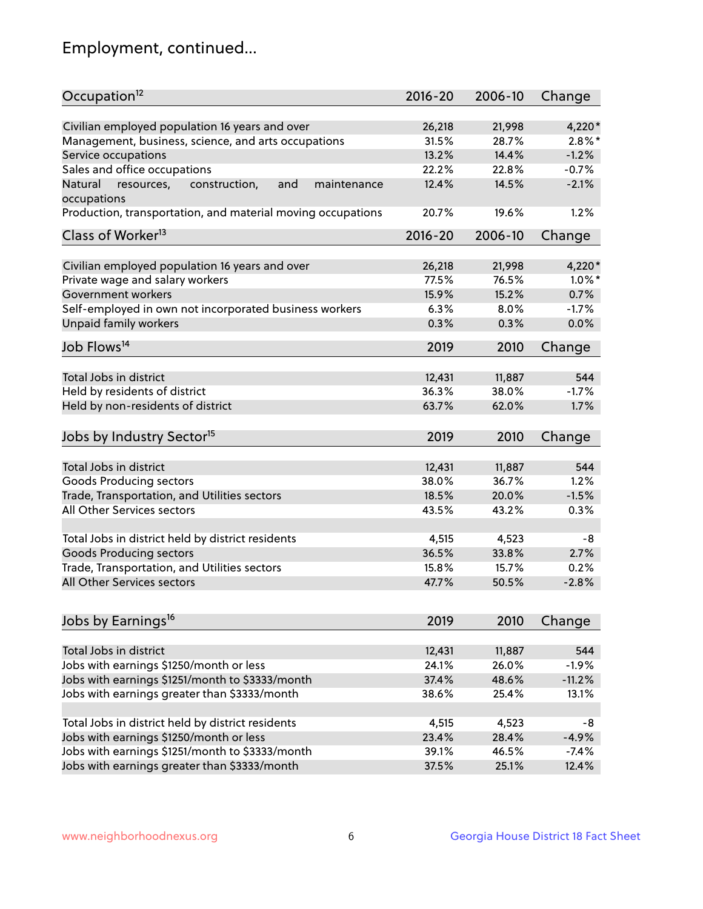## Employment, continued...

| Occupation <sup>12</sup>                                     | $2016 - 20$ | 2006-10 | Change    |
|--------------------------------------------------------------|-------------|---------|-----------|
| Civilian employed population 16 years and over               | 26,218      | 21,998  | 4,220*    |
| Management, business, science, and arts occupations          | 31.5%       | 28.7%   | $2.8\%$ * |
| Service occupations                                          | 13.2%       | 14.4%   | $-1.2%$   |
| Sales and office occupations                                 | 22.2%       | 22.8%   | $-0.7%$   |
| Natural<br>and<br>resources,<br>construction,<br>maintenance | 12.4%       | 14.5%   | $-2.1%$   |
| occupations                                                  |             |         |           |
| Production, transportation, and material moving occupations  | 20.7%       | 19.6%   | 1.2%      |
| Class of Worker <sup>13</sup>                                | $2016 - 20$ | 2006-10 | Change    |
| Civilian employed population 16 years and over               | 26,218      | 21,998  | 4,220*    |
| Private wage and salary workers                              | 77.5%       | 76.5%   | $1.0\%$ * |
| Government workers                                           | 15.9%       | 15.2%   | 0.7%      |
| Self-employed in own not incorporated business workers       | 6.3%        | 8.0%    | $-1.7%$   |
| Unpaid family workers                                        | 0.3%        | 0.3%    | 0.0%      |
|                                                              |             |         |           |
| Job Flows <sup>14</sup>                                      | 2019        | 2010    | Change    |
| Total Jobs in district                                       | 12,431      | 11,887  | 544       |
|                                                              | 36.3%       | 38.0%   | $-1.7%$   |
| Held by residents of district                                |             |         |           |
| Held by non-residents of district                            | 63.7%       | 62.0%   | 1.7%      |
| Jobs by Industry Sector <sup>15</sup>                        | 2019        | 2010    | Change    |
| Total Jobs in district                                       | 12,431      | 11,887  | 544       |
| Goods Producing sectors                                      | 38.0%       | 36.7%   | 1.2%      |
| Trade, Transportation, and Utilities sectors                 | 18.5%       | 20.0%   | $-1.5%$   |
| All Other Services sectors                                   | 43.5%       | 43.2%   | 0.3%      |
|                                                              |             |         |           |
| Total Jobs in district held by district residents            | 4,515       | 4,523   | -8        |
| <b>Goods Producing sectors</b>                               | 36.5%       | 33.8%   | 2.7%      |
| Trade, Transportation, and Utilities sectors                 | 15.8%       | 15.7%   | 0.2%      |
| All Other Services sectors                                   | 47.7%       | 50.5%   | $-2.8%$   |
|                                                              |             |         |           |
| Jobs by Earnings <sup>16</sup>                               | 2019        | 2010    | Change    |
| Total Jobs in district                                       | 12,431      | 11,887  | 544       |
| Jobs with earnings \$1250/month or less                      | 24.1%       | 26.0%   | $-1.9%$   |
| Jobs with earnings \$1251/month to \$3333/month              | 37.4%       | 48.6%   | $-11.2%$  |
| Jobs with earnings greater than \$3333/month                 | 38.6%       | 25.4%   | 13.1%     |
|                                                              |             |         |           |
| Total Jobs in district held by district residents            | 4,515       | 4,523   | -8        |
| Jobs with earnings \$1250/month or less                      | 23.4%       | 28.4%   | $-4.9%$   |
| Jobs with earnings \$1251/month to \$3333/month              | 39.1%       | 46.5%   | $-7.4%$   |
| Jobs with earnings greater than \$3333/month                 | 37.5%       | 25.1%   | 12.4%     |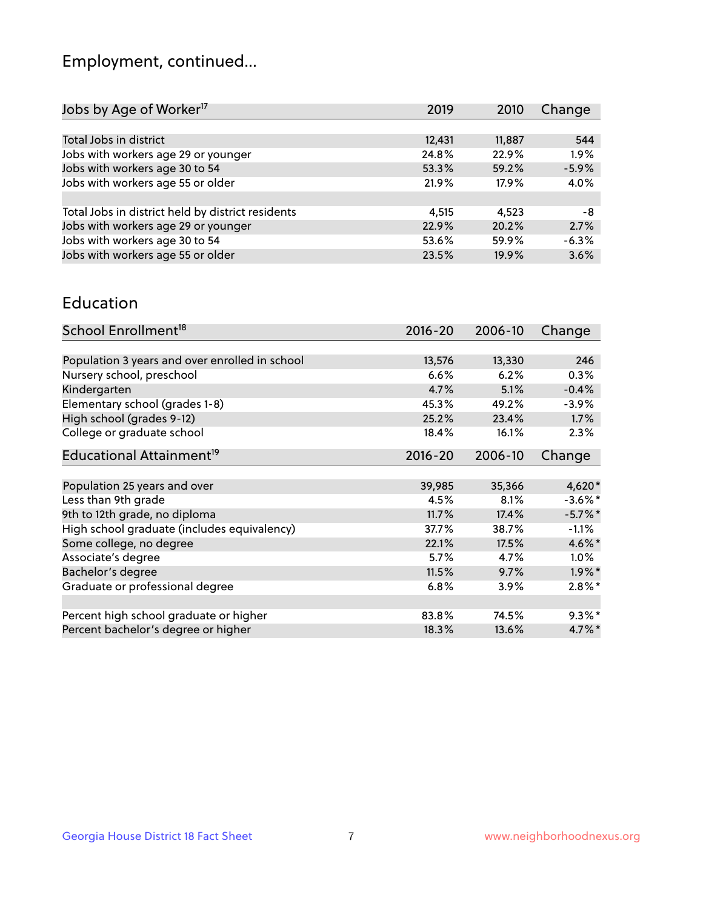## Employment, continued...

| Jobs by Age of Worker <sup>17</sup>               | 2019   | 2010   | Change  |
|---------------------------------------------------|--------|--------|---------|
|                                                   |        |        |         |
| Total Jobs in district                            | 12,431 | 11,887 | 544     |
| Jobs with workers age 29 or younger               | 24.8%  | 22.9%  | 1.9%    |
| Jobs with workers age 30 to 54                    | 53.3%  | 59.2%  | $-5.9%$ |
| Jobs with workers age 55 or older                 | 21.9%  | 17.9%  | 4.0%    |
|                                                   |        |        |         |
| Total Jobs in district held by district residents | 4.515  | 4.523  | -8      |
| Jobs with workers age 29 or younger               | 22.9%  | 20.2%  | 2.7%    |
| Jobs with workers age 30 to 54                    | 53.6%  | 59.9%  | $-6.3%$ |
| Jobs with workers age 55 or older                 | 23.5%  | 19.9%  | 3.6%    |
|                                                   |        |        |         |

#### Education

| School Enrollment <sup>18</sup>                | $2016 - 20$ | 2006-10 | Change     |
|------------------------------------------------|-------------|---------|------------|
|                                                |             |         |            |
| Population 3 years and over enrolled in school | 13,576      | 13,330  | 246        |
| Nursery school, preschool                      | 6.6%        | 6.2%    | 0.3%       |
| Kindergarten                                   | 4.7%        | 5.1%    | $-0.4%$    |
| Elementary school (grades 1-8)                 | 45.3%       | 49.2%   | $-3.9%$    |
| High school (grades 9-12)                      | 25.2%       | 23.4%   | 1.7%       |
| College or graduate school                     | 18.4%       | 16.1%   | 2.3%       |
| Educational Attainment <sup>19</sup>           | $2016 - 20$ | 2006-10 | Change     |
|                                                |             |         |            |
| Population 25 years and over                   | 39,985      | 35,366  | 4,620*     |
| Less than 9th grade                            | 4.5%        | 8.1%    | $-3.6\%$ * |
| 9th to 12th grade, no diploma                  | 11.7%       | 17.4%   | $-5.7\%$ * |
| High school graduate (includes equivalency)    | 37.7%       | 38.7%   | $-1.1%$    |
| Some college, no degree                        | 22.1%       | 17.5%   | $4.6\%$ *  |
| Associate's degree                             | 5.7%        | 4.7%    | $1.0\%$    |
| Bachelor's degree                              | 11.5%       | 9.7%    | $1.9\%$ *  |
| Graduate or professional degree                | 6.8%        | 3.9%    | $2.8\%$ *  |
|                                                |             |         |            |
| Percent high school graduate or higher         | 83.8%       | 74.5%   | $9.3\%$ *  |
| Percent bachelor's degree or higher            | 18.3%       | 13.6%   | $4.7\%$ *  |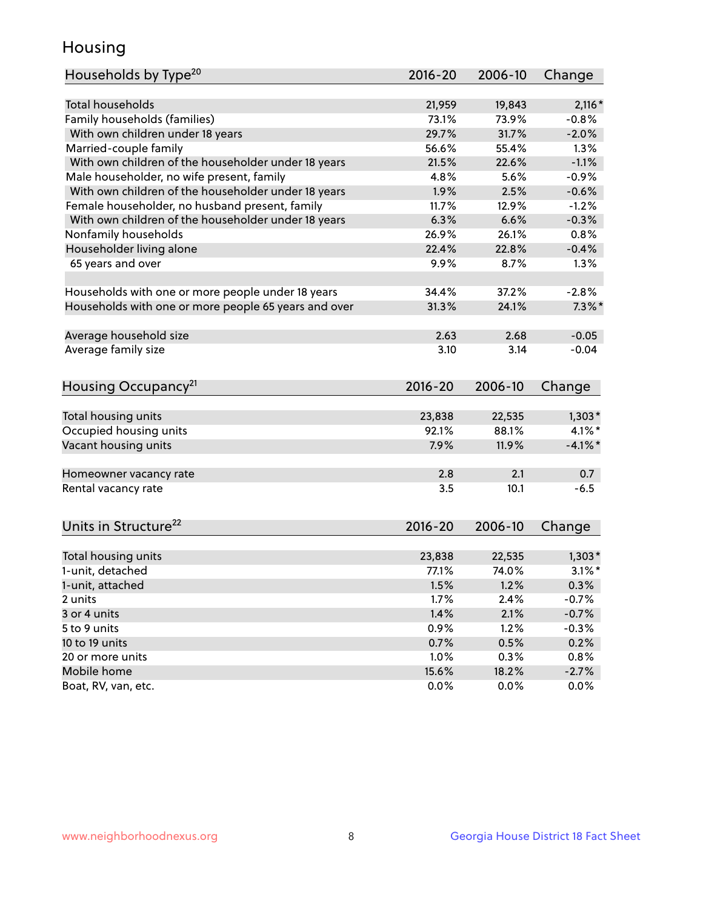## Housing

| Households by Type <sup>20</sup>                     | 2016-20       | 2006-10       | Change          |
|------------------------------------------------------|---------------|---------------|-----------------|
|                                                      |               |               |                 |
| <b>Total households</b>                              | 21,959        | 19,843        | $2,116*$        |
| Family households (families)                         | 73.1%         | 73.9%         | $-0.8%$         |
| With own children under 18 years                     | 29.7%         | 31.7%         | $-2.0%$         |
| Married-couple family                                | 56.6%         | 55.4%         | 1.3%            |
| With own children of the householder under 18 years  | 21.5%         | 22.6%         | $-1.1%$         |
| Male householder, no wife present, family            | 4.8%          | 5.6%          | $-0.9%$         |
| With own children of the householder under 18 years  | 1.9%          | 2.5%          | $-0.6%$         |
| Female householder, no husband present, family       | 11.7%         | 12.9%         | $-1.2%$         |
| With own children of the householder under 18 years  | 6.3%          | 6.6%          | $-0.3%$         |
| Nonfamily households                                 | 26.9%         | 26.1%         | 0.8%            |
| Householder living alone                             | 22.4%         | 22.8%         | $-0.4%$         |
| 65 years and over                                    | 9.9%          | 8.7%          | 1.3%            |
| Households with one or more people under 18 years    | 34.4%         | 37.2%         | $-2.8%$         |
| Households with one or more people 65 years and over | 31.3%         | 24.1%         | $7.3\%$ *       |
|                                                      |               |               |                 |
| Average household size                               | 2.63          | 2.68          | $-0.05$         |
| Average family size                                  | 3.10          | 3.14          | $-0.04$         |
|                                                      |               |               |                 |
| Housing Occupancy <sup>21</sup>                      | 2016-20       | 2006-10       | Change          |
|                                                      |               |               |                 |
| Total housing units<br>Occupied housing units        | 23,838        | 22,535        | $1,303*$        |
|                                                      |               |               |                 |
|                                                      | 92.1%         | 88.1%         | $4.1\%$ *       |
| Vacant housing units                                 | 7.9%          | 11.9%         | $-4.1%$ *       |
|                                                      | 2.8           | 2.1           | 0.7             |
| Homeowner vacancy rate<br>Rental vacancy rate        | 3.5           | 10.1          | $-6.5$          |
|                                                      |               |               |                 |
| Units in Structure <sup>22</sup>                     | 2016-20       | 2006-10       | Change          |
|                                                      |               |               |                 |
| Total housing units                                  | 23,838        | 22,535        | $1,303*$        |
| 1-unit, detached                                     | 77.1%         | 74.0%         | $3.1\%$ *       |
| 1-unit, attached                                     | 1.5%          | 1.2%          | 0.3%            |
| 2 units                                              | 1.7%          | 2.4%          | $-0.7%$         |
| 3 or 4 units                                         | 1.4%          | 2.1%          | $-0.7%$         |
| 5 to 9 units                                         | 0.9%          | 1.2%          | $-0.3%$         |
| 10 to 19 units                                       | 0.7%          | 0.5%          | 0.2%            |
| 20 or more units                                     | 1.0%          | 0.3%          | 0.8%            |
| Mobile home<br>Boat, RV, van, etc.                   | 15.6%<br>0.0% | 18.2%<br>0.0% | $-2.7%$<br>0.0% |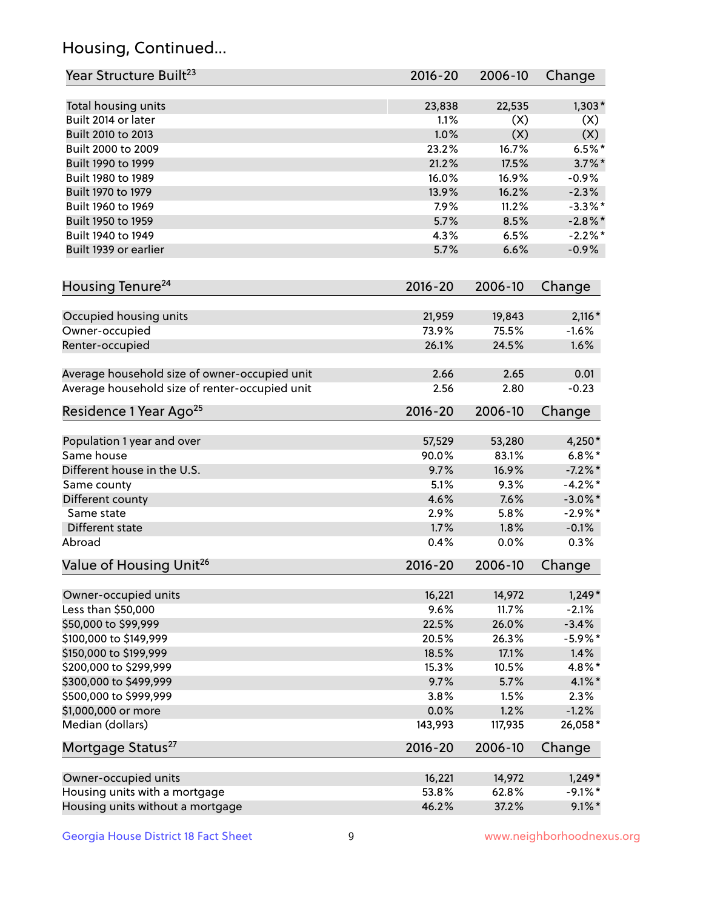## Housing, Continued...

| Year Structure Built <sup>23</sup>             | 2016-20     | 2006-10 | Change     |
|------------------------------------------------|-------------|---------|------------|
| Total housing units                            | 23,838      | 22,535  | $1,303*$   |
| Built 2014 or later                            | 1.1%        | (X)     | (X)        |
| Built 2010 to 2013                             | 1.0%        | (X)     | (X)        |
| Built 2000 to 2009                             | 23.2%       | 16.7%   | $6.5%$ *   |
| Built 1990 to 1999                             | 21.2%       | 17.5%   | $3.7\%$ *  |
| Built 1980 to 1989                             | 16.0%       | 16.9%   | $-0.9%$    |
| Built 1970 to 1979                             | 13.9%       | 16.2%   | $-2.3%$    |
| Built 1960 to 1969                             | 7.9%        | 11.2%   | $-3.3\%$ * |
| Built 1950 to 1959                             | 5.7%        | 8.5%    | $-2.8\%$ * |
| Built 1940 to 1949                             | 4.3%        | 6.5%    | $-2.2%$    |
| Built 1939 or earlier                          | 5.7%        | 6.6%    | $-0.9%$    |
|                                                |             |         |            |
| Housing Tenure <sup>24</sup>                   | 2016-20     | 2006-10 | Change     |
| Occupied housing units                         | 21,959      | 19,843  | $2,116*$   |
| Owner-occupied                                 | 73.9%       | 75.5%   | $-1.6%$    |
| Renter-occupied                                | 26.1%       | 24.5%   | 1.6%       |
| Average household size of owner-occupied unit  | 2.66        | 2.65    | 0.01       |
| Average household size of renter-occupied unit | 2.56        | 2.80    | $-0.23$    |
| Residence 1 Year Ago <sup>25</sup>             | 2016-20     | 2006-10 | Change     |
| Population 1 year and over                     | 57,529      | 53,280  | 4,250*     |
| Same house                                     | 90.0%       | 83.1%   | $6.8\%$ *  |
| Different house in the U.S.                    | 9.7%        | 16.9%   | $-7.2\%$ * |
| Same county                                    | 5.1%        | 9.3%    | $-4.2%$ *  |
| Different county                               | 4.6%        | 7.6%    | $-3.0\%$ * |
| Same state                                     | 2.9%        | 5.8%    | $-2.9%$ *  |
| Different state                                | 1.7%        | 1.8%    | $-0.1%$    |
| Abroad                                         | 0.4%        | 0.0%    | 0.3%       |
| Value of Housing Unit <sup>26</sup>            | $2016 - 20$ | 2006-10 | Change     |
|                                                |             |         |            |
| Owner-occupied units                           | 16,221      | 14,972  | $1,249*$   |
| Less than \$50,000                             | 9.6%        | 11.7%   | $-2.1%$    |
| \$50,000 to \$99,999                           | 22.5%       | 26.0%   | $-3.4%$    |
| \$100,000 to \$149,999                         | 20.5%       | 26.3%   | $-5.9\%$ * |
| \$150,000 to \$199,999                         | 18.5%       | 17.1%   | 1.4%       |
| \$200,000 to \$299,999                         | 15.3%       | 10.5%   | 4.8%*      |
| \$300,000 to \$499,999                         | 9.7%        | 5.7%    | $4.1\%$ *  |
| \$500,000 to \$999,999                         | 3.8%        | 1.5%    | 2.3%       |
| \$1,000,000 or more                            | 0.0%        | 1.2%    | $-1.2%$    |
| Median (dollars)                               | 143,993     | 117,935 | 26,058*    |
| Mortgage Status <sup>27</sup>                  | $2016 - 20$ | 2006-10 | Change     |
| Owner-occupied units                           | 16,221      | 14,972  | $1,249*$   |
| Housing units with a mortgage                  | 53.8%       | 62.8%   | $-9.1\%$ * |
| Housing units without a mortgage               | 46.2%       | 37.2%   | $9.1\%$ *  |
|                                                |             |         |            |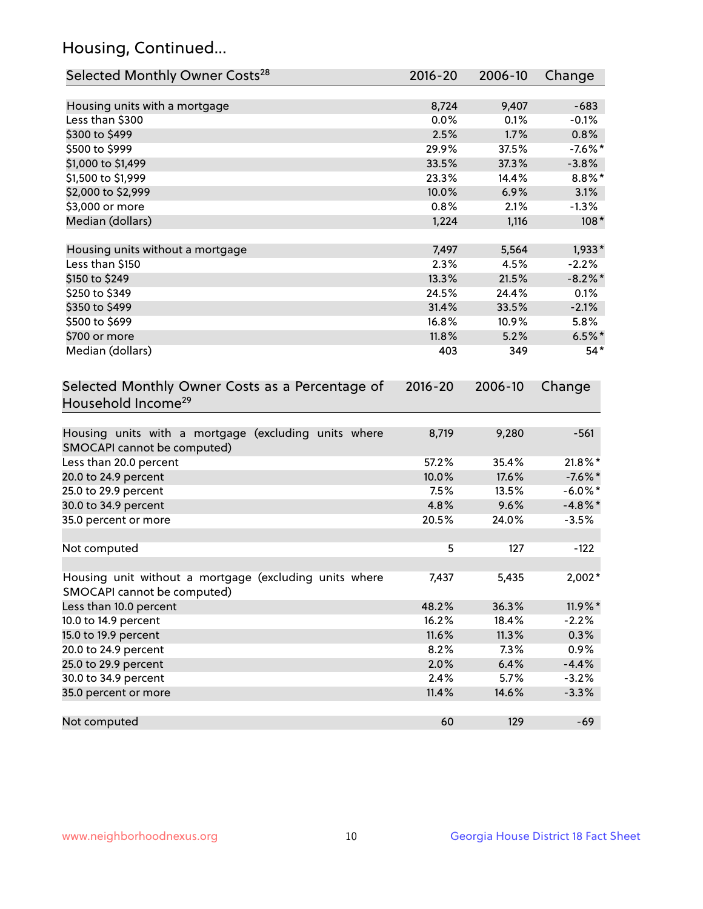## Housing, Continued...

| Selected Monthly Owner Costs <sup>28</sup>                                            | $2016 - 20$ | 2006-10 | Change     |
|---------------------------------------------------------------------------------------|-------------|---------|------------|
| Housing units with a mortgage                                                         | 8,724       | 9,407   | $-683$     |
| Less than \$300                                                                       | 0.0%        | 0.1%    | $-0.1%$    |
| \$300 to \$499                                                                        | 2.5%        | 1.7%    | 0.8%       |
| \$500 to \$999                                                                        | 29.9%       | 37.5%   | $-7.6%$ *  |
| \$1,000 to \$1,499                                                                    | 33.5%       | 37.3%   | $-3.8%$    |
| \$1,500 to \$1,999                                                                    | 23.3%       | 14.4%   | $8.8\%$ *  |
| \$2,000 to \$2,999                                                                    | 10.0%       | 6.9%    | 3.1%       |
| \$3,000 or more                                                                       | 0.8%        | 2.1%    | $-1.3%$    |
| Median (dollars)                                                                      | 1,224       | 1,116   | $108*$     |
|                                                                                       |             |         |            |
| Housing units without a mortgage                                                      | 7,497       | 5,564   | $1,933*$   |
| Less than \$150                                                                       | 2.3%        | 4.5%    | $-2.2%$    |
| \$150 to \$249                                                                        | 13.3%       | 21.5%   | $-8.2\%$ * |
| \$250 to \$349                                                                        | 24.5%       | 24.4%   | 0.1%       |
| \$350 to \$499                                                                        | 31.4%       | 33.5%   | $-2.1%$    |
| \$500 to \$699                                                                        | 16.8%       | 10.9%   | 5.8%       |
| \$700 or more                                                                         | 11.8%       | 5.2%    | $6.5\%$ *  |
| Median (dollars)                                                                      | 403         | 349     | $54*$      |
| Selected Monthly Owner Costs as a Percentage of<br>Household Income <sup>29</sup>     | $2016 - 20$ | 2006-10 | Change     |
| Housing units with a mortgage (excluding units where<br>SMOCAPI cannot be computed)   | 8,719       | 9,280   | $-561$     |
| Less than 20.0 percent                                                                | 57.2%       | 35.4%   | 21.8%*     |
| 20.0 to 24.9 percent                                                                  | 10.0%       | 17.6%   | $-7.6%$ *  |
| 25.0 to 29.9 percent                                                                  | 7.5%        | 13.5%   | $-6.0\%$ * |
| 30.0 to 34.9 percent                                                                  | 4.8%        | 9.6%    | $-4.8\%$ * |
| 35.0 percent or more                                                                  | 20.5%       | 24.0%   | $-3.5%$    |
| Not computed                                                                          | 5           | 127     | $-122$     |
| Housing unit without a mortgage (excluding units where<br>SMOCAPI cannot be computed) | 7,437       | 5,435   | 2,002*     |
| Less than 10.0 percent                                                                | 48.2%       | 36.3%   | 11.9%*     |
| 10.0 to 14.9 percent                                                                  | 16.2%       | 18.4%   | $-2.2%$    |
| 15.0 to 19.9 percent                                                                  | 11.6%       | 11.3%   | 0.3%       |
| 20.0 to 24.9 percent                                                                  | 8.2%        | 7.3%    | 0.9%       |
| 25.0 to 29.9 percent                                                                  | 2.0%        | 6.4%    | $-4.4%$    |
| 30.0 to 34.9 percent                                                                  | 2.4%        | 5.7%    | $-3.2%$    |
| 35.0 percent or more                                                                  | 11.4%       | 14.6%   | $-3.3%$    |
| Not computed                                                                          | 60          | 129     | $-69$      |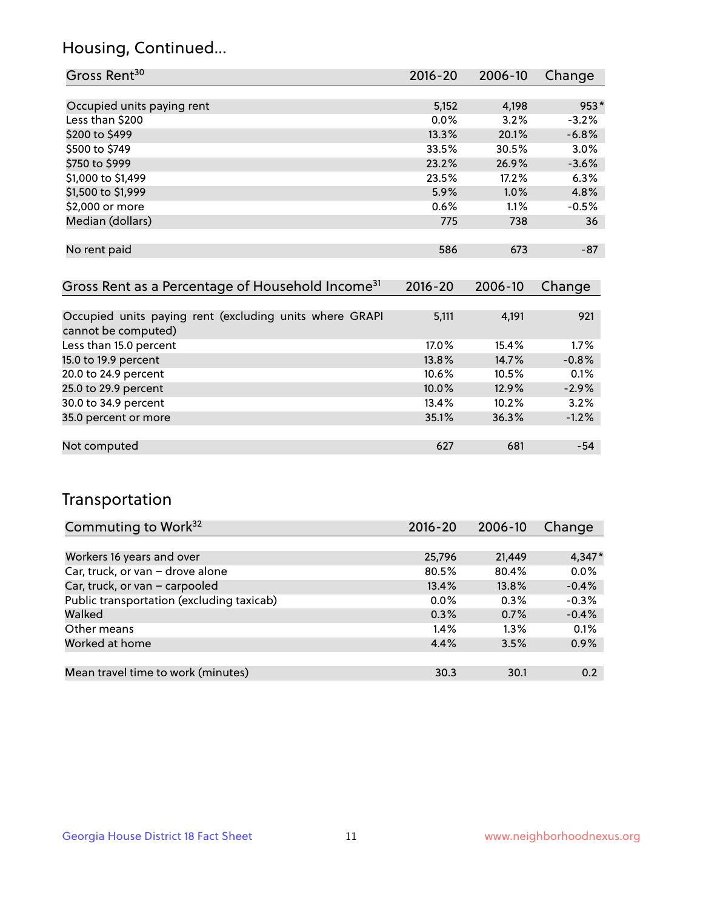## Housing, Continued...

| Gross Rent <sup>30</sup>   | 2016-20 | 2006-10 | Change  |
|----------------------------|---------|---------|---------|
|                            |         |         |         |
| Occupied units paying rent | 5,152   | 4,198   | 953*    |
| Less than \$200            | 0.0%    | 3.2%    | $-3.2%$ |
| \$200 to \$499             | 13.3%   | 20.1%   | $-6.8%$ |
| \$500 to \$749             | 33.5%   | 30.5%   | 3.0%    |
| \$750 to \$999             | 23.2%   | 26.9%   | $-3.6%$ |
| \$1,000 to \$1,499         | 23.5%   | 17.2%   | 6.3%    |
| \$1,500 to \$1,999         | 5.9%    | $1.0\%$ | 4.8%    |
| \$2,000 or more            | 0.6%    | 1.1%    | $-0.5%$ |
| Median (dollars)           | 775     | 738     | 36      |
|                            |         |         |         |
| No rent paid               | 586     | 673     | $-87$   |

| Gross Rent as a Percentage of Household Income <sup>31</sup>                   | $2016 - 20$ | 2006-10 | Change  |
|--------------------------------------------------------------------------------|-------------|---------|---------|
|                                                                                |             |         |         |
| Occupied units paying rent (excluding units where GRAPI<br>cannot be computed) | 5,111       | 4,191   | 921     |
| Less than 15.0 percent                                                         | 17.0%       | 15.4%   | $1.7\%$ |
| 15.0 to 19.9 percent                                                           | 13.8%       | 14.7%   | $-0.8%$ |
| 20.0 to 24.9 percent                                                           | 10.6%       | 10.5%   | 0.1%    |
| 25.0 to 29.9 percent                                                           | 10.0%       | 12.9%   | $-2.9%$ |
| 30.0 to 34.9 percent                                                           | 13.4%       | 10.2%   | 3.2%    |
| 35.0 percent or more                                                           | 35.1%       | 36.3%   | $-1.2%$ |
|                                                                                |             |         |         |
| Not computed                                                                   | 627         | 681     | $-54$   |

## Transportation

| Commuting to Work <sup>32</sup>           | 2016-20 | 2006-10 | Change   |
|-------------------------------------------|---------|---------|----------|
|                                           |         |         |          |
| Workers 16 years and over                 | 25,796  | 21,449  | $4,347*$ |
| Car, truck, or van - drove alone          | 80.5%   | 80.4%   | 0.0%     |
| Car, truck, or van - carpooled            | 13.4%   | 13.8%   | $-0.4%$  |
| Public transportation (excluding taxicab) | $0.0\%$ | $0.3\%$ | $-0.3%$  |
| Walked                                    | 0.3%    | 0.7%    | $-0.4%$  |
| Other means                               | $1.4\%$ | $1.3\%$ | 0.1%     |
| Worked at home                            | 4.4%    | 3.5%    | 0.9%     |
|                                           |         |         |          |
| Mean travel time to work (minutes)        | 30.3    | 30.1    | 0.2      |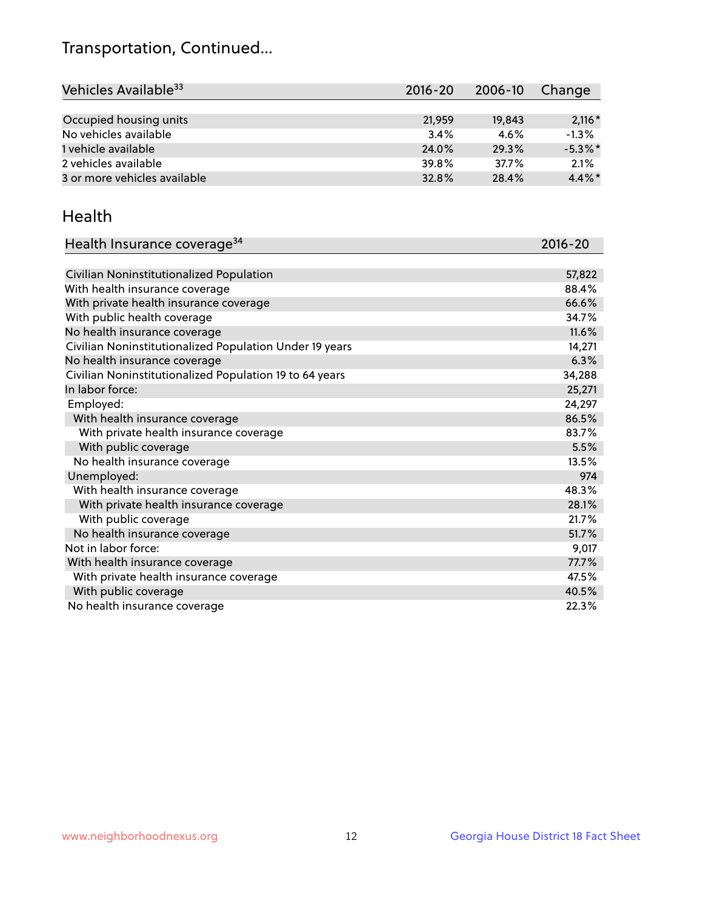## Transportation, Continued...

| Vehicles Available <sup>33</sup> | $2016 - 20$ | $2006 - 10$ | Change     |
|----------------------------------|-------------|-------------|------------|
|                                  |             |             |            |
| Occupied housing units           | 21,959      | 19,843      | $2,116*$   |
| No vehicles available            | 3.4%        | 4.6%        | $-1.3%$    |
| 1 vehicle available              | 24.0%       | 29.3%       | $-5.3\%$ * |
| 2 vehicles available             | 39.8%       | 37.7%       | 2.1%       |
| 3 or more vehicles available     | 32.8%       | 28.4%       | $4.4\%$ *  |

#### Health

| Health Insurance coverage <sup>34</sup>                 | 2016-20 |
|---------------------------------------------------------|---------|
|                                                         |         |
| Civilian Noninstitutionalized Population                | 57,822  |
| With health insurance coverage                          | 88.4%   |
| With private health insurance coverage                  | 66.6%   |
| With public health coverage                             | 34.7%   |
| No health insurance coverage                            | 11.6%   |
| Civilian Noninstitutionalized Population Under 19 years | 14,271  |
| No health insurance coverage                            | 6.3%    |
| Civilian Noninstitutionalized Population 19 to 64 years | 34,288  |
| In labor force:                                         | 25,271  |
| Employed:                                               | 24,297  |
| With health insurance coverage                          | 86.5%   |
| With private health insurance coverage                  | 83.7%   |
| With public coverage                                    | 5.5%    |
| No health insurance coverage                            | 13.5%   |
| Unemployed:                                             | 974     |
| With health insurance coverage                          | 48.3%   |
| With private health insurance coverage                  | 28.1%   |
| With public coverage                                    | 21.7%   |
| No health insurance coverage                            | 51.7%   |
| Not in labor force:                                     | 9,017   |
| With health insurance coverage                          | 77.7%   |
| With private health insurance coverage                  | 47.5%   |
| With public coverage                                    | 40.5%   |
| No health insurance coverage                            | 22.3%   |